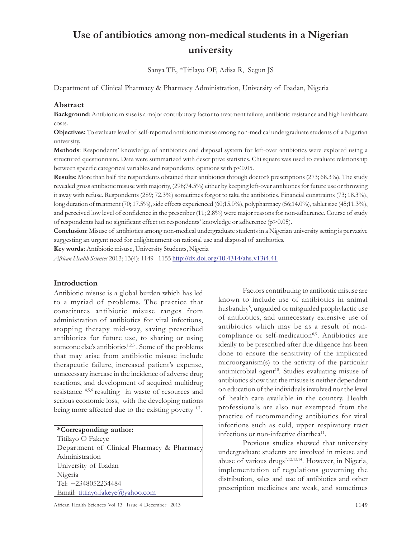# Use of antibiotics among non-medical students in a Nigerian university

Sanya TE, \*Titilayo OF, Adisa R, Segun JS

Department of Clinical Pharmacy & Pharmacy Administration, University of Ibadan, Nigeria

#### Abstract

Background: Antibiotic misuse is a major contributory factor to treatment failure, antibiotic resistance and high healthcare costs.

Objectives: To evaluate level of self-reported antibiotic misuse among non-medical undergraduate students of a Nigerian university.

Methods: Respondents' knowledge of antibiotics and disposal system for left-over antibiotics were explored using a structured questionnaire. Data were summarized with descriptive statistics. Chi square was used to evaluate relationship between specific categorical variables and respondents' opinions with p<0.05.

Results: More than half the respondents obtained their antibiotics through doctor's prescriptions (273; 68.3%). The study revealed gross antibiotic misuse with majority, (298;74.5%) either by keeping left-over antibiotics for future use or throwing it away with refuse. Respondents (289; 72.3%) sometimes forgot to take the antibiotics. Financial constraints (73; 18.3%), long duration of treatment (70; 17.5%), side effects experienced (60;15.0%), polypharmacy (56;14.0%), tablet size (45;11.3%), and perceived low level of confidence in the prescriber (11; 2.8%) were major reasons for non-adherence. Course of study of respondents had no significant effect on respondents' knowledge or adherence ( $p$ >0.05).

Conclusion: Misuse of antibiotics among non-medical undergraduate students in a Nigerian university setting is pervasive suggesting an urgent need for enlightenment on rational use and disposal of antibiotics.

Key words: Antibiotic misuse, University Students, Nigeria

African Health Sciences 2013; 13(4): 1149 - 1155 http://dx.doi.org/10.4314/ahs.v13i4.41

#### Introduction

Antibiotic misuse is a global burden which has led to a myriad of problems. The practice that constitutes antibiotic misuse ranges from administration of antibiotics for viral infections, stopping therapy mid-way, saving prescribed antibiotics for future use, to sharing or using someone else's antibiotics<sup>1,2,3</sup>. Some of the problems that may arise from antibiotic misuse include therapeutic failure, increased patient's expense, unnecessary increase in the incidence of adverse drug reactions, and development of acquired multidrug resistance 4,5,6 resulting in waste of resources and serious economic loss, with the developing nations being more affected due to the existing poverty <sup>1,7</sup>.

#### \*Corresponding author:

Titilayo O Fakeye Department of Clinical Pharmacy & Pharmacy Administration University of Ibadan Nigeria Tel: +2348052234484 Email: titilayo.fakeye@yahoo.com

Factors contributing to antibiotic misuse are known to include use of antibiotics in animal husbandry<sup>8</sup>, unguided or misguided prophylactic use of antibiotics, and unnecessary extensive use of antibiotics which may be as a result of noncompliance or self-medication<sup>6,9</sup>. Antibiotics are ideally to be prescribed after due diligence has been done to ensure the sensitivity of the implicated microorganism(s) to the activity of the particular antimicrobial agent<sup>10</sup>. Studies evaluating misuse of antibiotics show that the misuse is neither dependent on education of the individuals involved nor the level of health care available in the country. Health professionals are also not exempted from the practice of recommending antibiotics for viral infections such as cold, upper respiratory tract infections or non-infective diarrhea<sup>11</sup>.

Previous studies showed that university undergraduate students are involved in misuse and abuse of various drugs<sup>7,12,13,14</sup>. However, in Nigeria, implementation of regulations governing the distribution, sales and use of antibiotics and other prescription medicines are weak, and sometimes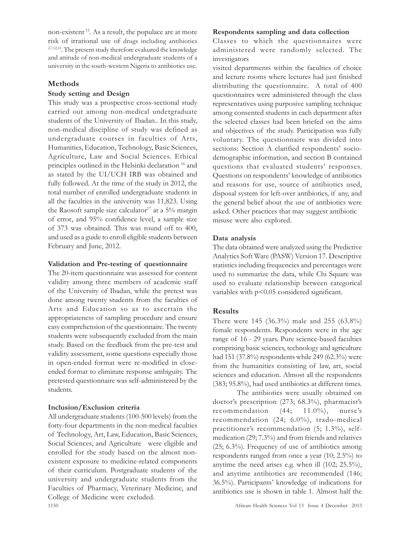non-existent<sup>15</sup>. As a result, the populace are at more risk of irrational use of drugs including antibiotics <sup>2,7,12,14</sup>. The present study therefore evaluated the knowledge and attitude of non-medical undergraduate students of a university in the south-western Nigeria to antibiotics use.

## Methods

# Study setting and Design

This study was a prospective cross-sectional study carried out among non-medical undergraduate students of the University of Ibadan.. In this study, non-medical discipline of study was defined as undergraduate courses in faculties of Arts, Humanities, Education, Technology, Basic Sciences, Agriculture, Law and Social Sciences. Ethical principles outlined in the Helsinki declaration <sup>16</sup> and as stated by the UI/UCH IRB was obtained and fully followed. At the time of the study in 2012, the total number of enrolled undergraduate students in all the faculties in the university was 11,823. Using the Raosoft sample size calculator<sup>17</sup> at a  $5\%$  margin of error, and 95% confidence level, a sample size of 373 was obtained. This was round off to 400, and used as a guide to enroll eligible students between February and June, 2012.

## Validation and Pre-testing of questionnaire

The 20-item questionnaire was assessed for content validity among three members of academic staff of the University of Ibadan, while the pretest was done among twenty students from the faculties of Arts and Education so as to ascertain the appropriateness of sampling procedure and ensure easy comprehension of the questionnaire. The twenty students were subsequently excluded from the main study. Based on the feedback from the pre-test and validity assessment, some questions especially those in open-ended format were re-modified in closeended format to eliminate response ambiguity. The pretested questionnaire was self-administered by the students.

# Inclusion/Exclusion criteria

1150 African Health Sciences Vol 13 Issue 4 December 2013 All undergraduate students (100-500 levels) from the forty-four departments in the non-medical faculties of Technology, Art, Law, Education, Basic Sciences, Social Sciences, and Agriculture were eligible and enrolled for the study based on the almost nonexistent exposure to medicine-related components of their curriculum. Postgraduate students of the university and undergraduate students from the Faculties of Pharmacy, Veterinary Medicine, and College of Medicine were excluded.

## Respondents sampling and data collection

Classes to which the questionnaires were administered were randomly selected. The investigators

visited departments within the faculties of choice and lecture rooms where lectures had just finished distributing the questionnaire. A total of 400 questionnaires were administered through the class representatives using purposive sampling technique among consented students in each department after the selected classes had been briefed on the aims and objectives of the study. Participation was fully voluntary. The questionnaire was divided into sections: Section A clarified respondents' sociodemographic information, and section B contained questions that evaluated students' responses. Questions on respondents' knowledge of antibiotics and reasons for use, source of antibiotics used, disposal system for left-over antibiotics, if any, and the general belief about the use of antibiotics were asked. Other practices that may suggest antibiotic misuse were also explored.

# Data analysis

The data obtained were analyzed using the Predictive Analytics Soft Ware (PASW) Version 17. Descriptive statistics including frequencies and percentages were used to summarize the data, while Chi Square was used to evaluate relationship between categorical variables with  $p<0.05$  considered significant.

# Results

There were 145 (36.3%) male and 255 (63.8%) female respondents. Respondents were in the age range of 16 - 29 years. Pure science-based faculties comprising basic sciences, technology and agriculture had 151 (37.8%) respondents while 249 (62.3%) were from the humanities consisting of law, art, social sciences and education. Almost all the respondents (383; 95.8%), had used antibiotics at different times.

The antibiotics were usually obtained on doctor's prescription (273; 68.3%), pharmacist's recommendation (44; 11.0%), nurse's recommendation (24; 6.0%), trado-medical practitioner's recommendation (5; 1.3%), selfmedication (29; 7.3%) and from friends and relatives (25; 6.3%). Frequency of use of antibiotics among respondents ranged from once a year (10; 2.5%) to anytime the need arises e.g. when ill (102; 25.5%), and anytime antibiotics are recommended (146; 36.5%). Participants' knowledge of indications for antibiotics use is shown in table 1. Almost half the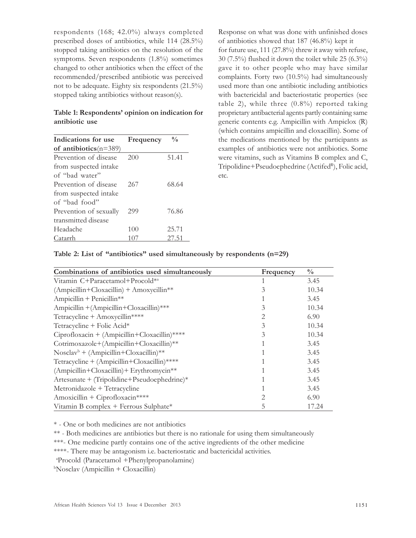respondents (168; 42.0%) always completed prescribed doses of antibiotics, while 114 (28.5%) stopped taking antibiotics on the resolution of the symptoms. Seven respondents (1.8%) sometimes changed to other antibiotics when the effect of the recommended/prescribed antibiotic was perceived not to be adequate. Eighty six respondents (21.5%) stopped taking antibiotics without reason(s).

#### Table 1: Respondents' opinion on indication for antibiotic use

| Indications for use      | Frequency | $\frac{0}{0}$ |  |
|--------------------------|-----------|---------------|--|
| of antibiotics $(n=389)$ |           |               |  |
| Prevention of disease    | 200       | 51.41         |  |
| from suspected intake    |           |               |  |
| of "bad water"           |           |               |  |
| Prevention of disease    | 267       | 68.64         |  |
| from suspected intake    |           |               |  |
| of "bad food"            |           |               |  |
| Prevention of sexually   | 299       | 76.86         |  |
| transmitted disease      |           |               |  |
| Headache                 | 100       | 25.71         |  |
| Catarrh                  | 107       | 27.51         |  |

Response on what was done with unfinished doses of antibiotics showed that 187 (46.8%) kept it for future use, 111 (27.8%) threw it away with refuse, 30 (7.5%) flushed it down the toilet while 25 (6.3%) gave it to other people who may have similar complaints. Forty two (10.5%) had simultaneously used more than one antibiotic including antibiotics with bactericidal and bacteriostatic properties (see table 2), while three  $(0.8\%)$  reported taking proprietary antibacterial agents partly containing same generic contents e.g. Ampicillin with Ampiclox (R) (which contains ampicillin and cloxacillin). Some of the medications mentioned by the participants as examples of antibiotics were not antibiotics. Some were vitamins, such as Vitamins B complex and C, Tripolidine+Pseudoephedrine (Actifed<sup>R</sup>), Folic acid, etc.

| Table 2: List of "antibiotics" used simultaneously by respondents (n=29) |  |  |  |  |
|--------------------------------------------------------------------------|--|--|--|--|
|--------------------------------------------------------------------------|--|--|--|--|

| Combinations of antibiotics used simultaneously | Frequency | $\frac{0}{0}$ |
|-------------------------------------------------|-----------|---------------|
| Vitamin C+Paracetamol+Procold <sup>*a</sup>     |           | 3.45          |
| $(Ampicillin + Cloxacillin) + Amoxycillin**$    |           | 10.34         |
| $Ampicillin + Penicillin**$                     |           | 3.45          |
| Ampicillin + (Ampicillin + Cloxacillin) ***     | 3         | 10.34         |
| Tetracycline + Amoxycillin****                  |           | 6.90          |
| Tetracycline + Folic Acid*                      |           | 10.34         |
| Ciprofloxacin + (Ampicillin+Cloxacillin)****    |           | 10.34         |
| Cotrimoxazole+(Ampicillin+Cloxacillin)**        |           | 3.45          |
| $Nosclavb + (Ampicillin+Cloxacillin)**$         |           | 3.45          |
| Tetracycline + (Ampicillin+Cloxacillin)****     |           | 3.45          |
| (Ampicillin+Cloxacillin)+ Erythromycin**        |           | 3.45          |
| $Artesunate + (Tripolidine + Pseudoephedrine)*$ |           | 3.45          |
| Metronidazole + Tetracycline                    |           | 3.45          |
| Amoxicillin + Ciprofloxacin****                 |           | 6.90          |
| Vitamin B complex + Ferrous Sulphate*           |           | 17.24         |

\* - One or both medicines are not antibiotics

\*\* - Both medicines are antibiotics but there is no rationale for using them simultaneously

\*\*\*- One medicine partly contains one of the active ingredients of the other medicine

\*\*\*\*- There may be antagonism i.e. bacteriostatic and bactericidal activities.

<sup>a</sup>Procold (Paracetamol +Phenylpropanolamine)

 $bNosclav$  (Ampicillin + Cloxacillin)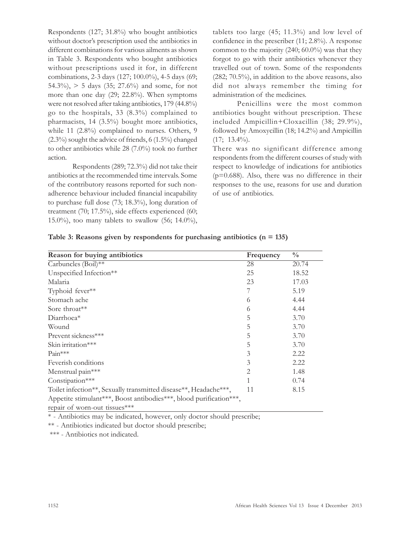Respondents (127; 31.8%) who bought antibiotics without doctor's prescription used the antibiotics in different combinations for various ailments as shown in Table 3. Respondents who bought antibiotics without prescriptions used it for, in different combinations, 2-3 days (127; 100.0%), 4-5 days (69; 54.3%),  $> 5$  days (35; 27.6%) and some, for not more than one day (29; 22.8%). When symptoms were not resolved after taking antibiotics, 179 (44.8%) go to the hospitals, 33 (8.3%) complained to pharmacists, 14 (3.5%) bought more antibiotics, while 11 (2.8%) complained to nurses. Others, 9 (2.3%) sought the advice of friends, 6 (1.5%) changed to other antibiotics while 28 (7.0%) took no further action.

Respondents (289; 72.3%) did not take their antibiotics at the recommended time intervals. Some of the contributory reasons reported for such nonadherence behaviour included financial incapability to purchase full dose (73; 18.3%), long duration of treatment (70; 17.5%), side effects experienced (60; 15.0%), too many tablets to swallow (56; 14.0%), tablets too large (45; 11.3%) and low level of confidence in the prescriber (11; 2.8%). A response common to the majority (240; 60.0%) was that they forgot to go with their antibiotics whenever they travelled out of town. Some of the respondents (282; 70.5%), in addition to the above reasons, also did not always remember the timing for administration of the medicines.

Penicillins were the most common antibiotics bought without prescription. These included Ampicillin+Cloxacillin (38; 29.9%), followed by Amoxycillin (18; 14.2%) and Ampicillin  $(17; 13.4\%)$ .

There was no significant difference among respondents from the different courses of study with respect to knowledge of indications for antibiotics  $(p=0.688)$ . Also, there was no difference in their responses to the use, reasons for use and duration of use of antibiotics.

| Reason for buying antibiotics                                                                       | Frequency      | $\frac{0}{0}$ |
|-----------------------------------------------------------------------------------------------------|----------------|---------------|
| Carbuncles (Boil)**                                                                                 | 28             | 20.74         |
| Unspecified Infection**                                                                             | 25             | 18.52         |
| Malaria                                                                                             | 23             | 17.03         |
| Typhoid fever**                                                                                     |                | 5.19          |
| Stomach ache                                                                                        | 6              | 4.44          |
| Sore throat <sup>**</sup>                                                                           | 6              | 4.44          |
| Diarrhoea*                                                                                          | 5              | 3.70          |
| Wound                                                                                               | 5              | 3.70          |
| Prevent sickness***                                                                                 | 5              | 3.70          |
| Skin irritation***                                                                                  | 5              | 3.70          |
| $Pain***$                                                                                           | 3              | 2.22          |
| Feverish conditions                                                                                 | 3              | 2.22          |
| Menstrual pain***                                                                                   | $\overline{2}$ | 1.48          |
| Constipation***                                                                                     |                | 0.74          |
| Toilet infection**, Sexually transmitted disease**, Headache***,                                    | 11             | 8.15          |
| Appetite stimulant***, Boost antibodies***, blood purification***,<br>repair of worn-out tissues*** |                |               |

|  |  |  | Table 3: Reasons given by respondents for purchasing antibiotics $(n = 135)$ |  |  |  |  |
|--|--|--|------------------------------------------------------------------------------|--|--|--|--|
|--|--|--|------------------------------------------------------------------------------|--|--|--|--|

\* - Antibiotics may be indicated, however, only doctor should prescribe;

\*\* - Antibiotics indicated but doctor should prescribe;

\*\*\* - Antibiotics not indicated.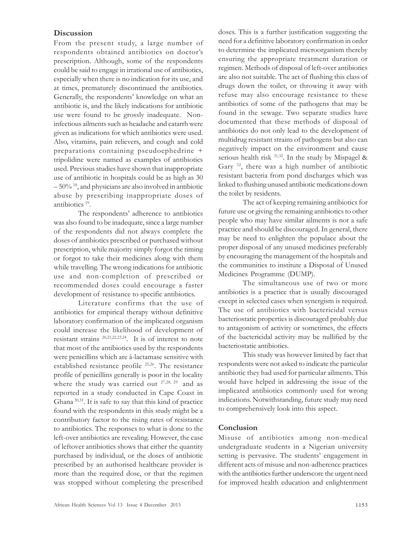#### **Discussion**

From the present study, a large number of respondents obtained antibiotics on doctor's prescription. Although, some of the respondents could be said to engage in irrational use of antibiotics, especially when there is no indication for its use, and at times, prematurely discontinued the antibiotics. Generally, the respondents' knowledge on what an antibiotic is, and the likely indications for antibiotic use were found to be grossly inadequate. Noninfectious ailments such as headache and catarrh were given as indications for which antibiotics were used. Also, vitamins, pain relievers, and cough and cold preparations containing pseudoephedrine + tripolidine were named as examples of antibiotics used. Previous studies have shown that inappropriate use of antibiotic in hospitals could be as high as 30  $-50\%$ <sup>18</sup>, and physicians are also involved in antibiotic abuse by prescribing inappropriate doses of antibiotics <sup>19</sup> .

The respondents' adherence to antibiotics was also found to be inadequate, since a large number of the respondents did not always complete the doses of antibiotics prescribed or purchased without prescription, while majority simply forgot the timing or forgot to take their medicines along with them while travelling. The wrong indications for antibiotic use and non-completion of prescribed or recommended doses could encourage a faster development of resistance to specific antibiotics.

Literature confirms that the use of antibiotics for empirical therapy without definitive laboratory confirmation of the implicated organism could increase the likelihood of development of resistant strains 20,21,22,23,24. It is of interest to note that most of the antibiotics used by the respondents were penicillins which are â-lactamase sensitive with established resistance profile 25,26. The resistance profile of penicillins generally is poor in the locality where the study was carried out <sup>27,28, 29</sup> and as reported in a study conducted in Cape Coast in Ghana 30,31. It is safe to say that this kind of practice found with the respondents in this study might be a contributory factor to the rising rates of resistance to antibiotics. The responses to what is done to the left-over antibiotics are revealing. However, the case of leftover antibiotics shows that either the quantity purchased by individual, or the doses of antibiotic prescribed by an authorised healthcare provider is more than the required dose, or that the regimen was stopped without completing the prescribed

doses. This is a further justification suggesting the need for a definitive laboratory confirmation in order to determine the implicated microorganism thereby ensuring the appropriate treatment duration or regimen. Methods of disposal of left-over antibiotics are also not suitable. The act of flushing this class of drugs down the toilet, or throwing it away with refuse may also encourage resistance to these antibiotics of some of the pathogens that may be found in the sewage. Two separate studies have documented that these methods of disposal of antibiotics do not only lead to the development of multidrug resistant strains of pathogens but also can negatively impact on the environment and cause serious health risk 31,32. In the study by Mispagel & Gary <sup>32</sup>, there was a high number of antibiotic resistant bacteria from pond discharges which was linked to flushing unused antibiotic medications down the toilet by residents.

The act of keeping remaining antibiotics for future use or giving the remaining antibiotics to other people who may have similar ailments is not a safe practice and should be discouraged. In general, there may be need to enlighten the populace about the proper disposal of any unused medicines preferably by encouraging the management of the hospitals and the communities to institute a Disposal of Unused Medicines Programme (DUMP).

The simultaneous use of two or more antibiotics is a practice that is usually discouraged except in selected cases when synergism is required. The use of antibiotics with bactericidal versus bacteriostatic properties is discouraged probably due to antagonism of activity or sometimes, the effects of the bactericidal activity may be nullified by the bacteriostatic antibiotics.

This study was however limited by fact that respondents were not asked to indicate the particular antibiotic they had used for particular ailments. This would have helped in addressing the issue of the implicated antibiotics commonly used for wrong indications. Notwithstanding, future study may need to comprehensively look into this aspect.

## Conclusion

Misuse of antibiotics among non-medical undergraduate students in a Nigerian university setting is pervasive. The students' engagement in different acts of misuse and non-adherence practices with the antibiotics further underscore the urgent need for improved health education and enlightenment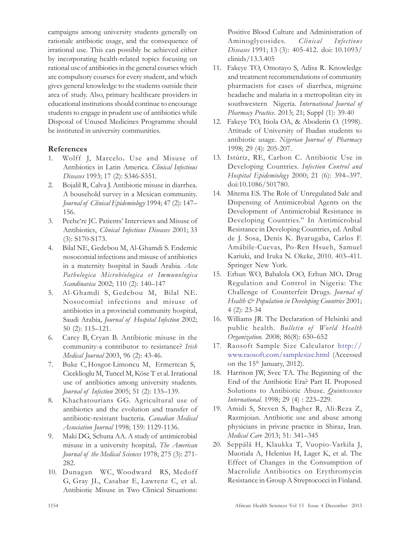campaigns among university students generally on rationale antibiotic usage, and the consequence of irrational use. This can possibly be achieved either by incorporating health-related topics focusing on rational use of antibiotics in the general courses which are compulsory courses for every student, and which gives general knowledge to the students outside their area of study. Also, primary healthcare providers in educational institutions should continue to encourage students to engage in prudent use of antibiotics while Disposal of Unused Medicines Programme should be instituted in university communities.

## References

- 1. Wolff J, Marcelo. Use and Misuse of Antibiotics in Latin America. Clinical Infectious Diseases 1993; 17 (2): S346-S351.
- 2. Bojalil R, Calva J. Antibiotic misuse in diarrhea. A household survey in a Mexican community. Journal of Clinical Epidemiology 1994; 47 (2): 147– 156.
- 3. Peche're JC. Patients' Interviews and Misuse of Antibiotics, Clinical Infectious Diseases 2001; 33 (3): S170-S173.
- 4. Bilal NE, Gedebou M, Al-Ghamdi S. Endemic nosocomial infections and misuse of antibiotics in a maternity hospital in Saudi Arabia. Acta Pathologica Microbiologica et Immunologica Scandinavica 2002; 110 (2): 140–147
- 5. Al-Ghamdi S, Gedebou M, Bilal NE. Nosocomial infections and misuse of antibiotics in a provincial community hospital, Saudi Arabia, Journal of Hospital Infection 2002; 50 (2): 115–121.
- 6. Carey B, Cryan B. Antibiotic misuse in the community-a contributor to resistance? Irish Medical Journal 2003, 96 (2): 43-46.
- 7. Buke C, Hosgor-Limoncu M, Ermertcan S, Ciceklioglu M, Tuncel M, Köse T et al. Irrational use of antibiotics among university students. Journal of Infection 2005; 51 (2): 135–139.
- 8. Khachatourians GG. Agricultural use of antibiotics and the evolution and transfer of antibiotic-resistant bacteria. Canadian Medical Association Journal 1998; 159: 1129-1136.
- 9. Maki DG, Schuna AA. A study of antimicrobial misuse in a university hospital. The American Journal of the Medical Sciences 1978; 275 (3): 271- 282.
- 10. Dunagan WC, Woodward RS, Medoff G, Gray JL, Casabar E, Lawrenz C, et al. Antibiotic Misuse in Two Clinical Situations:

Positive Blood Culture and Administration of Aminoglycosides. Clinical Infectious Diseases 1991; 13 (3): 405-412. doi: 10.1093/ clinids/13.3.405

- 11. Fakeye TO, Omotayo S, Adisa R. Knowledge and treatment recommendations of community pharmacists for cases of diarrhea, migraine headache and malaria in a metropolitan city in southwestern Nigeria. International Journal of Pharmacy Practice. 2013; 21; Suppl (1): 39-40
- 12. Fakeye TO, Itiola OA, & Aboderin O. (1998). Attitude of University of Ibadan students to antibiotic usage. Nigerian Journal of Pharmacy 1998; 29 (4): 205-207.
- 13. Istúriz, RE, Carbon C. Antibiotic Use in Developing Countries. Infection Control and Hospital Epidemiology 2000; 21 (6): 394–397. doi:10.1086/501780.
- 14. Mitema ES. The Role of Unregulated Sale and Dispensing of Antimicrobial Agents on the Development of Antimicrobial Resistance in Developing Countries." In Antimicrobial Resistance in Developing Countries, ed. Aníbal de J. Sosa, Denis K. Byarugaba, Carlos F. Amábile-Cuevas, Po-Ren Hsueh, Samuel Kariuki, and Iruka N. Okeke, 2010. 403–411. Springer New York.
- 15. Erhun WO, Babalola OO, Erhun MO. Drug Regulation and Control in Nigeria: The Challenge of Counterfeit Drugs. Journal of Health  $\mathcal{E}$  Population in Developing Countries 2001; 4 (2): 23-34
- 16. Williams JR. The Declaration of Helsinki and public health. Bulletin of World Health Organization. 2008; 86(8): 650–652
- 17. Raosoft Sample Size Calculator http:// www.raosoft.com/samplesize.html (Accessed on the  $15<sup>th</sup>$  January, 2012).
- 18. Harrison JW, Svec TA. The Beginning of the End of the Antibiotic Era? Part II. Proposed Solutions to Antibiotic Abuse. Quintessence International. 1998; 29 (4) : 223–229.
- 19. Amidi S, Steven S, Bagher R, Ali-Reza Z, Razmjoian. Antibiotic use and abuse among physicians in private practice in Shiraz, Iran. Medical Care 2013; 51: 341–345
- 20. Seppälä H, Klaukka T, Vuopio-Varkila J, Muotiala A, Helenius H, Lager K, et al. The Effect of Changes in the Consumption of Macrolide Antibiotics on Erythromycin Resistance in Group A Streptococci in Finland.